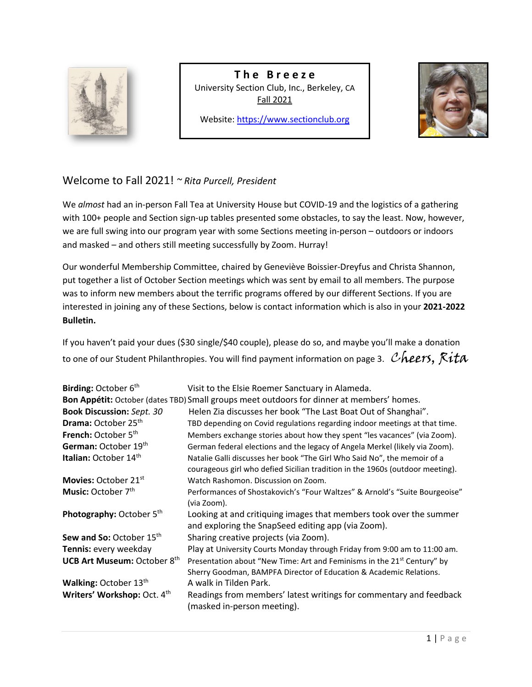

**T h e B r e e z e** University Section Club, Inc., Berkeley, CA Fall 2021

Website[: https://www.sectionclub.org](https://www.sectionclub.org/)



# Welcome to Fall 2021! *~ Rita Purcell, President*

We *almost* had an in-person Fall Tea at University House but COVID-19 and the logistics of a gathering with 100+ people and Section sign-up tables presented some obstacles, to say the least. Now, however, we are full swing into our program year with some Sections meeting in-person – outdoors or indoors and masked – and others still meeting successfully by Zoom. Hurray!

Our wonderful Membership Committee, chaired by Geneviève Boissier-Dreyfus and Christa Shannon, put together a list of October Section meetings which was sent by email to all members. The purpose was to inform new members about the terrific programs offered by our different Sections. If you are interested in joining any of these Sections, below is contact information which is also in your **2021-2022 Bulletin.**

If you haven't paid your dues (\$30 single/\$40 couple), please do so, and maybe you'll make a donation to one of our Student Philanthropies. You will find payment information on page 3. Cheers,  $Rita$ 

| Birding: October 6 <sup>th</sup>   | Visit to the Elsie Roemer Sanctuary in Alameda.                                                                                                           |
|------------------------------------|-----------------------------------------------------------------------------------------------------------------------------------------------------------|
|                                    | Bon Appétit: October (dates TBD) Small groups meet outdoors for dinner at members' homes.                                                                 |
| <b>Book Discussion: Sept. 30</b>   | Helen Zia discusses her book "The Last Boat Out of Shanghai".                                                                                             |
| Drama: October 25 <sup>th</sup>    | TBD depending on Covid regulations regarding indoor meetings at that time.                                                                                |
| French: October 5 <sup>th</sup>    | Members exchange stories about how they spent "les vacances" (via Zoom).                                                                                  |
| German: October 19th               | German federal elections and the legacy of Angela Merkel (likely via Zoom).                                                                               |
| Italian: October 14 <sup>th</sup>  | Natalie Galli discusses her book "The Girl Who Said No", the memoir of a<br>courageous girl who defied Sicilian tradition in the 1960s (outdoor meeting). |
| Movies: October 21 <sup>st</sup>   | Watch Rashomon. Discussion on Zoom.                                                                                                                       |
| Music: October 7 <sup>th</sup>     | Performances of Shostakovich's "Four Waltzes" & Arnold's "Suite Bourgeoise"<br>(via Zoom).                                                                |
| Photography: October 5th           | Looking at and critiquing images that members took over the summer<br>and exploring the SnapSeed editing app (via Zoom).                                  |
| <b>Sew and So: October 15th</b>    | Sharing creative projects (via Zoom).                                                                                                                     |
| Tennis: every weekday              | Play at University Courts Monday through Friday from 9:00 am to 11:00 am.                                                                                 |
| <b>UCB Art Museum: October 8th</b> | Presentation about "New Time: Art and Feminisms in the 21 <sup>st</sup> Century" by<br>Sherry Goodman, BAMPFA Director of Education & Academic Relations. |
| Walking: October 13th              | A walk in Tilden Park.                                                                                                                                    |
| Writers' Workshop: Oct. 4th        | Readings from members' latest writings for commentary and feedback<br>(masked in-person meeting).                                                         |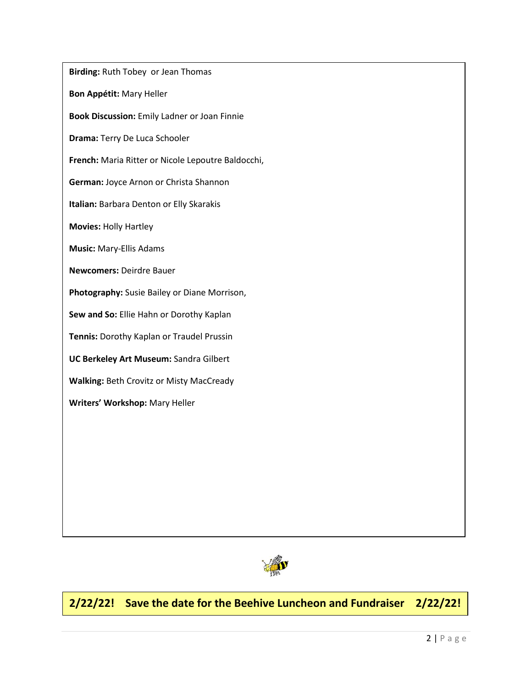**Birding:** Ruth Tobey or Jean Thomas **Bon Appétit:** Mary Heller **Book Discussion:** Emily Ladner or Joan Finnie **Drama:** Terry De Luca Schooler **French:** Maria Ritter or Nicole Lepoutre Baldocchi, **German:** Joyce Arnon or Christa Shannon **Italian:** Barbara Denton or Elly Skarakis **Movies:** Holly Hartley **Music:** Mary-Ellis Adams **Newcomers:** Deirdre Bauer **Photography:** Susie Bailey or Diane Morrison, **Sew and So:** Ellie Hahn or Dorothy Kaplan **Tennis:** Dorothy Kaplan or Traudel Prussin **UC Berkeley Art Museum:** Sandra Gilbert **Walking:** Beth Crovitz or Misty MacCready **Writers' Workshop:** Mary Heller



# **2/22/22! Save the date for the Beehive Luncheon and Fundraiser 2/22/22!**

**!**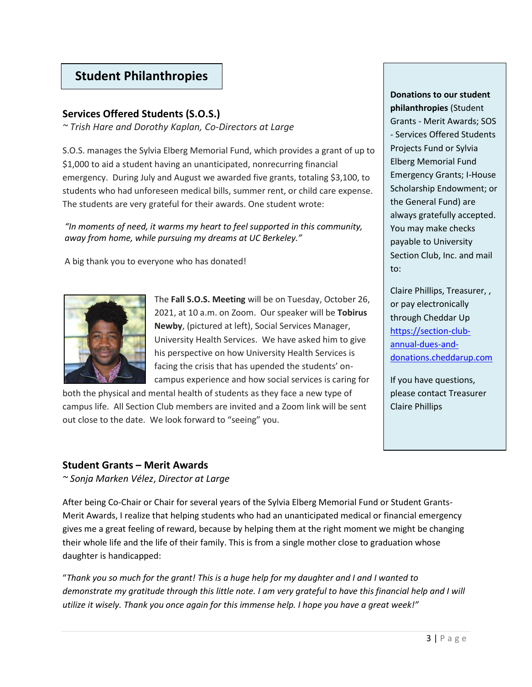# **Student Philanthropies**

## **Services Offered Students (S.O.S.)**

*~ Trish Hare and Dorothy Kaplan, Co-Directors at Large*

S.O.S. manages the Sylvia Elberg Memorial Fund, which provides a grant of up to \$1,000 to aid a student having an unanticipated, nonrecurring financial emergency. During July and August we awarded five grants, totaling \$3,100, to students who had unforeseen medical bills, summer rent, or child care expense. The students are very grateful for their awards. One student wrote:

*"In moments of need, it warms my heart to feel supported in this community, away from home, while pursuing my dreams at UC Berkeley."* 

A big thank you to everyone who has donated!



The **Fall S.O.S. Meeting** will be on Tuesday, October 26, 2021, at 10 a.m. on Zoom. Our speaker will be **Tobirus Newby**, (pictured at left), Social Services Manager, University Health Services. We have asked him to give his perspective on how University Health Services is facing the crisis that has upended the students' oncampus experience and how social services is caring for

both the physical and mental health of students as they face a new type of campus life. All Section Club members are invited and a Zoom link will be sent out close to the date. We look forward to "seeing" you.

**Donations to our student philanthropies** (Student Grants - Merit Awards; SOS - Services Offered Students Projects Fund or Sylvia Elberg Memorial Fund Emergency Grants; I-House Scholarship Endowment; or the General Fund) are always gratefully accepted. You may make checks payable to University Section Club, Inc. and mail to:

Claire Phillips, Treasurer, , or pay electronically through Cheddar Up [https://section-club](https://section-club-annual-dues-and-donations.cheddarup.com/)[annual-dues-and](https://section-club-annual-dues-and-donations.cheddarup.com/)[donations.cheddarup.com](https://section-club-annual-dues-and-donations.cheddarup.com/)

If you have questions, please contact Treasurer Claire Phillips

## **Student Grants – Merit Awards**

*~ Sonja Marken Vélez*, *Director at Large*

After being Co-Chair or Chair for several years of the Sylvia Elberg Memorial Fund or Student Grants-Merit Awards, I realize that helping students who had an unanticipated medical or financial emergency gives me a great feeling of reward, because by helping them at the right moment we might be changing their whole life and the life of their family. This is from a single mother close to graduation whose daughter is handicapped:

"*Thank you so much for the grant! This is a huge help for my daughter and I and I wanted to demonstrate my gratitude through this little note. I am very grateful to have this financial help and I will utilize it wisely. Thank you once again for this immense help. I hope you have a great week!"*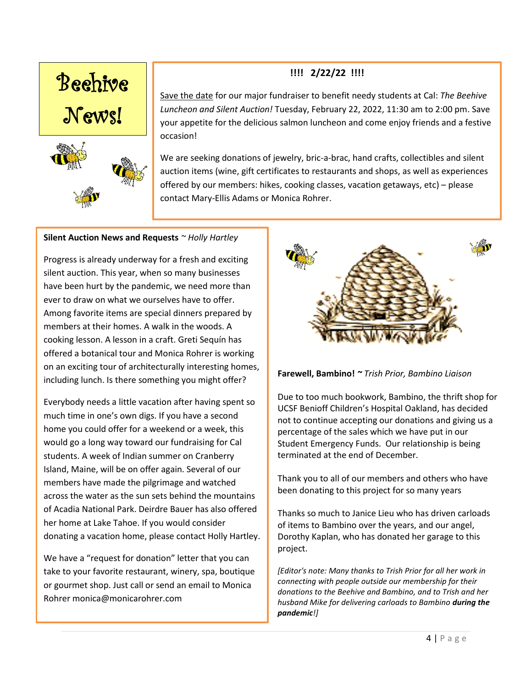

# **!!!! 2/22/22 !!!!**

Save the date for our major fundraiser to benefit needy students at Cal: *The Beehive Luncheon and Silent Auction!* Tuesday, February 22, 2022, 11:30 am to 2:00 pm. Save your appetite for the delicious salmon luncheon and come enjoy friends and a festive occasion!

We are seeking donations of jewelry, bric-a-brac, hand crafts, collectibles and silent auction items (wine, gift certificates to restaurants and shops, as well as experiences offered by our members: hikes, cooking classes, vacation getaways, etc) – please contact Mary-Ellis Adams or Monica Rohrer.

#### **Silent Auction News and Requests** *~ Holly Hartley*

Progress is already underway for a fresh and exciting silent auction. This year, when so many businesses have been hurt by the pandemic, we need more than ever to draw on what we ourselves have to offer. Among favorite items are special dinners prepared by members at their homes. A walk in the woods. A cooking lesson. A lesson in a craft. Greti Sequín has offered a botanical tour and Monica Rohrer is working on an exciting tour of architecturally interesting homes, including lunch. Is there something you might offer?

Everybody needs a little vacation after having spent so much time in one's own digs. If you have a second home you could offer for a weekend or a week, this would go a long way toward our fundraising for Cal students. A week of Indian summer on Cranberry Island, Maine, will be on offer again. Several of our members have made the pilgrimage and watched across the water as the sun sets behind the mountains of Acadia National Park. Deirdre Bauer has also offered her home at Lake Tahoe. If you would consider donating a vacation home, please contact Holly Hartley.

We have a "request for donation" letter that you can take to your favorite restaurant, winery, spa, boutique or gourmet shop. Just call or send an email to Monica Rohrer monica@monicarohrer.com



#### **Farewell, Bambino!** *~ Trish Prior, Bambino Liaison*

Due to too much bookwork, Bambino, the thrift shop for UCSF Benioff Children's Hospital Oakland, has decided not to continue accepting our donations and giving us a percentage of the sales which we have put in our Student Emergency Funds. Our relationship is being terminated at the end of December.

Thank you to all of our members and others who have been donating to this project for so many years

Thanks so much to Janice Lieu who has driven carloads of items to Bambino over the years, and our angel, Dorothy Kaplan, who has donated her garage to this project.

*[Editor's note: Many thanks to Trish Prior for all her work in connecting with people outside our membership for their donations to the Beehive and Bambino, and to Trish and her husband Mike for delivering carloads to Bambino during the pandemic!]*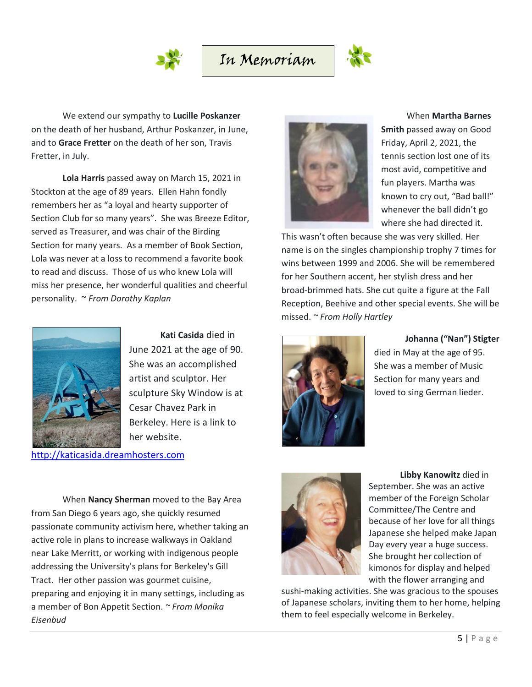



We extend our sympathy to **Lucille Poskanzer** on the death of her husband, Arthur Poskanzer, in June, and to **Grace Fretter** on the death of her son, Travis Fretter, in July.

**Lola Harris** passed away on March 15, 2021 in Stockton at the age of 89 years. Ellen Hahn fondly remembers her as "a loyal and hearty supporter of Section Club for so many years". She was Breeze Editor, served as Treasurer, and was chair of the Birding Section for many years. As a member of Book Section, Lola was never at a loss to recommend a favorite book to read and discuss. Those of us who knew Lola will miss her presence, her wonderful qualities and cheerful personality. ~ *From Dorothy Kaplan*



**Kati Casida** died in June 2021 at the age of 90. She was an accomplished artist and sculptor. Her sculpture Sky Window is at Cesar Chavez Park in Berkeley. Here is a link to her website.

[http://katicasida.dreamhosters.com](http://katicasida.dreamhosters.com/)

When **Nancy Sherman** moved to the Bay Area from San Diego 6 years ago, she quickly resumed passionate community activism here, whether taking an active role in plans to increase walkways in Oakland near Lake Merritt, or working with indigenous people addressing the University's plans for Berkeley's Gill Tract. Her other passion was gourmet cuisine, preparing and enjoying it in many settings, including as a member of Bon Appetit Section. *~ From Monika Eisenbud*



When **Martha Barnes** 

**Smith** passed away on Good Friday, April 2, 2021, the tennis section lost one of its most avid, competitive and fun players. Martha was known to cry out, "Bad ball!" whenever the ball didn't go where she had directed it.

This wasn't often because she was very skilled. Her name is on the singles championship trophy 7 times for wins between 1999 and 2006. She will be remembered for her Southern accent, her stylish dress and her broad-brimmed hats. She cut quite a figure at the Fall Reception, Beehive and other special events. She will be missed. *~ From Holly Hartley*



**Johanna ("Nan") Stigter**

died in May at the age of 95. She was a member of Music Section for many years and loved to sing German lieder.



**Libby Kanowitz** died in September. She was an active member of the Foreign Scholar Committee/The Centre and because of her love for all things Japanese she helped make Japan Day every year a huge success. She brought her collection of kimonos for display and helped with the flower arranging and

sushi-making activities. She was gracious to the spouses of Japanese scholars, inviting them to her home, helping them to feel especially welcome in Berkeley.